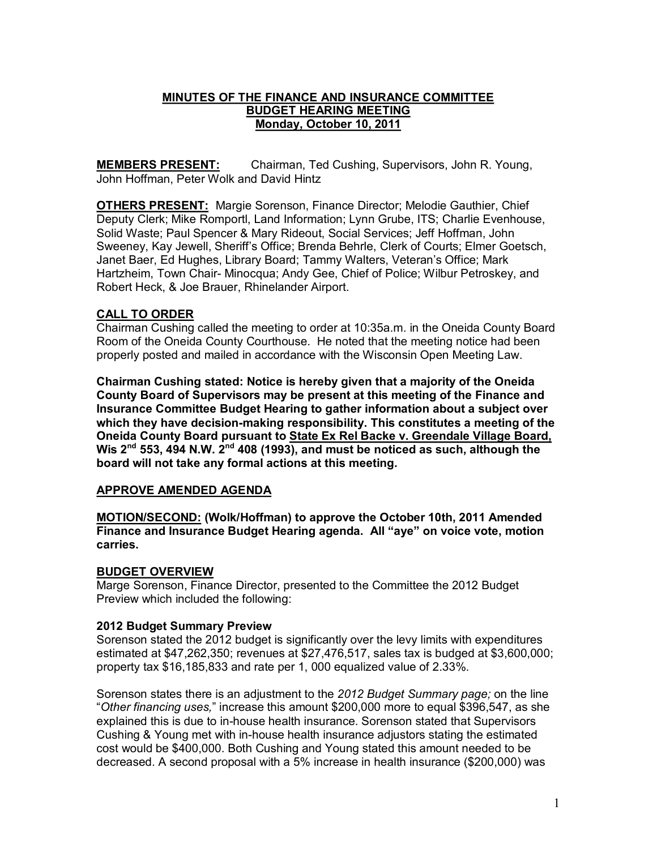#### **MINUTES OF THE FINANCE AND INSURANCE COMMITTEE BUDGET HEARING MEETING Monday, October 10, 2011**

**MEMBERS PRESENT:** Chairman, Ted Cushing, Supervisors, John R. Young, John Hoffman, Peter Wolk and David Hintz

**OTHERS PRESENT:** Margie Sorenson, Finance Director; Melodie Gauthier, Chief Deputy Clerk; Mike Romportl, Land Information; Lynn Grube, ITS; Charlie Evenhouse, Solid Waste; Paul Spencer & Mary Rideout, Social Services; Jeff Hoffman, John Sweeney, Kay Jewell, Sheriff's Office; Brenda Behrle, Clerk of Courts; Elmer Goetsch, Janet Baer, Ed Hughes, Library Board; Tammy Walters, Veteran's Office; Mark Hartzheim, Town Chair- Minocqua; Andy Gee, Chief of Police; Wilbur Petroskey, and Robert Heck, & Joe Brauer, Rhinelander Airport.

## **CALL TO ORDER**

Chairman Cushing called the meeting to order at 10:35a.m. in the Oneida County Board Room of the Oneida County Courthouse. He noted that the meeting notice had been properly posted and mailed in accordance with the Wisconsin Open Meeting Law.

**Chairman Cushing stated: Notice is hereby given that a majority of the Oneida County Board of Supervisors may be present at this meeting of the Finance and Insurance Committee Budget Hearing to gather information about a subject over**  which they have decision-making responsibility. This constitutes a meeting of the **Oneida County Board pursuant to State Ex Rel Backe v. Greendale Village Board, Wis 2nd 553, 494 N.W. 2nd 408 (1993), and must be noticed as such, although the board will not take any formal actions at this meeting.** 

## **APPROVE AMENDED AGENDA**

**MOTION/SECOND: (Wolk/Hoffman) to approve the October 10th, 2011 Amended Finance and Insurance Budget Hearing agenda. All "aye" on voice vote, motion carries.** 

## **BUDGET OVERVIEW**

Marge Sorenson, Finance Director, presented to the Committee the 2012 Budget Preview which included the following:

## **2012 Budget Summary Preview**

Sorenson stated the 2012 budget is significantly over the levy limits with expenditures estimated at \$47,262,350; revenues at \$27,476,517, sales tax is budged at \$3,600,000; property tax \$16,185,833 and rate per 1, 000 equalized value of 2.33%.

Sorenson states there is an adjustment to the *2012 Budget Summary page;* on the line "*Other financing uses,*" increase this amount \$200,000 more to equal \$396,547, as she explained this is due to in-house health insurance. Sorenson stated that Supervisors Cushing & Young met with in-house health insurance adjustors stating the estimated cost would be \$400,000. Both Cushing and Young stated this amount needed to be decreased. A second proposal with a 5% increase in health insurance (\$200,000) was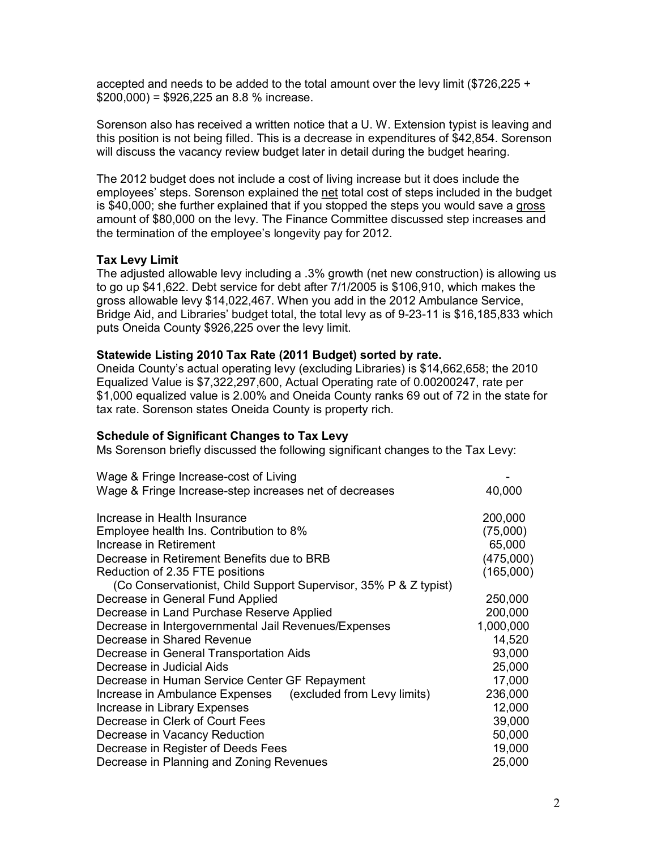accepted and needs to be added to the total amount over the levy limit (\$726,225 +  $$200,000$  = \$926,225 an 8.8 % increase.

Sorenson also has received a written notice that a U. W. Extension typist is leaving and this position is not being filled. This is a decrease in expenditures of \$42,854. Sorenson will discuss the vacancy review budget later in detail during the budget hearing.

The 2012 budget does not include a cost of living increase but it does include the employees' steps. Sorenson explained the net total cost of steps included in the budget is \$40,000; she further explained that if you stopped the steps you would save a gross amount of \$80,000 on the levy. The Finance Committee discussed step increases and the termination of the employee's longevity pay for 2012.

#### **Tax Levy Limit**

The adjusted allowable levy including a .3% growth (net new construction) is allowing us to go up \$41,622. Debt service for debt after 7/1/2005 is \$106,910, which makes the gross allowable levy \$14,022,467. When you add in the 2012 Ambulance Service, Bridge Aid, and Libraries' budget total, the total levy as of 9-23-11 is \$16,185,833 which puts Oneida County \$926,225 over the levy limit.

#### **Statewide Listing 2010 Tax Rate (2011 Budget) sorted by rate.**

Oneida County's actual operating levy (excluding Libraries) is \$14,662,658; the 2010 Equalized Value is \$7,322,297,600, Actual Operating rate of 0.00200247, rate per \$1,000 equalized value is 2.00% and Oneida County ranks 69 out of 72 in the state for tax rate. Sorenson states Oneida County is property rich.

#### **Schedule of Significant Changes to Tax Levy**

Ms Sorenson briefly discussed the following significant changes to the Tax Levy:

| Wage & Fringe Increase-cost of Living                            |           |
|------------------------------------------------------------------|-----------|
| Wage & Fringe Increase-step increases net of decreases           | 40,000    |
|                                                                  |           |
| Increase in Health Insurance                                     | 200,000   |
| Employee health Ins. Contribution to 8%                          | (75,000)  |
| Increase in Retirement                                           | 65,000    |
| Decrease in Retirement Benefits due to BRB                       | (475,000) |
| Reduction of 2.35 FTE positions                                  | (165,000) |
| (Co Conservationist, Child Support Supervisor, 35% P & Z typist) |           |
| Decrease in General Fund Applied                                 | 250,000   |
| Decrease in Land Purchase Reserve Applied                        | 200,000   |
| Decrease in Intergovernmental Jail Revenues/Expenses             | 1,000,000 |
| Decrease in Shared Revenue                                       | 14,520    |
| Decrease in General Transportation Aids                          | 93,000    |
| Decrease in Judicial Aids                                        | 25,000    |
| Decrease in Human Service Center GF Repayment                    | 17,000    |
| Increase in Ambulance Expenses (excluded from Levy limits)       | 236,000   |
| Increase in Library Expenses                                     | 12,000    |
| Decrease in Clerk of Court Fees                                  | 39,000    |
| Decrease in Vacancy Reduction                                    | 50,000    |
| Decrease in Register of Deeds Fees                               | 19,000    |
| Decrease in Planning and Zoning Revenues                         | 25,000    |
|                                                                  |           |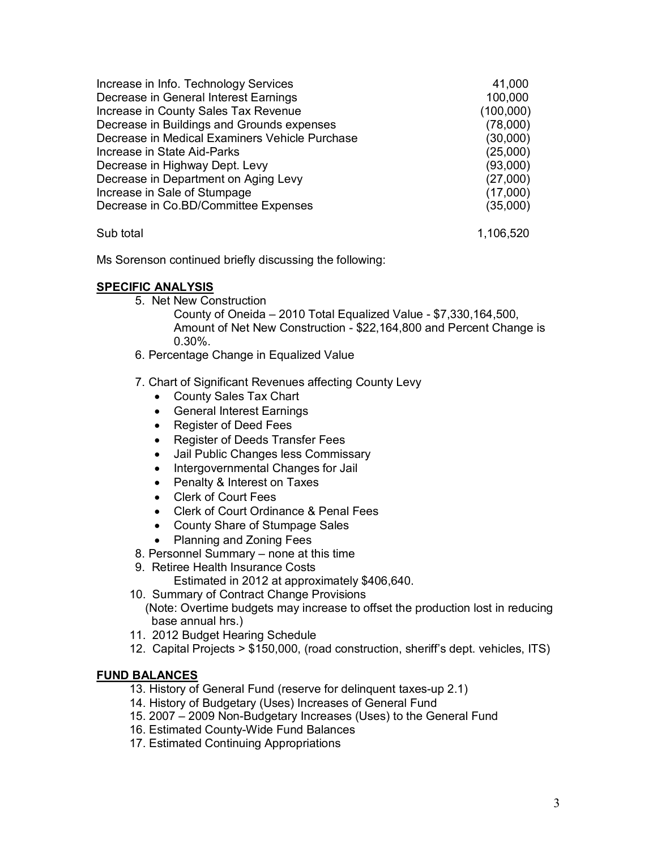| Increase in Info. Technology Services          | 41,000    |
|------------------------------------------------|-----------|
| Decrease in General Interest Earnings          | 100,000   |
| Increase in County Sales Tax Revenue           | (100,000) |
| Decrease in Buildings and Grounds expenses     | (78,000)  |
| Decrease in Medical Examiners Vehicle Purchase | (30,000)  |
| Increase in State Aid-Parks                    | (25,000)  |
| Decrease in Highway Dept. Levy                 | (93,000)  |
| Decrease in Department on Aging Levy           | (27,000)  |
| Increase in Sale of Stumpage                   | (17,000)  |
| Decrease in Co.BD/Committee Expenses           | (35,000)  |
| Sub total                                      | 1,106,520 |

Ms Sorenson continued briefly discussing the following:

# **SPECIFIC ANALYSIS**

- 5. Net New Construction
	- County of Oneida  $-2010$  Total Equalized Value  $-$  \$7,330,164,500, Amount of Net New Construction - \$22,164,800 and Percent Change is 0.30%.
- 6. Percentage Change in Equalized Value
- 7. Chart of Significant Revenues affecting County Levy
	- · County Sales Tax Chart
	- · General Interest Earnings
	- · Register of Deed Fees
	- · Register of Deeds Transfer Fees
	- · Jail Public Changes less Commissary
	- · Intergovernmental Changes for Jail
	- · Penalty & Interest on Taxes
	- · Clerk of Court Fees
	- · Clerk of Court Ordinance & Penal Fees
	- · County Share of Stumpage Sales
	- · Planning and Zoning Fees
- 8. Personnel Summary none at this time
- 9. Retiree Health Insurance Costs
	- Estimated in 2012 at approximately \$406,640.
- 10. Summary of Contract Change Provisions (Note: Overtime budgets may increase to offset the production lost in reducing base annual hrs.)
- 11. 2012 Budget Hearing Schedule
- 12. Capital Projects > \$150,000, (road construction, sheriff's dept. vehicles, ITS)

## **FUND BALANCES**

- 13. History of General Fund (reserve for delinquent taxes-up 2.1)
- 14. History of Budgetary (Uses) Increases of General Fund
- 15. 2007 2009 Non-Budgetary Increases (Uses) to the General Fund
- 16. Estimated County-Wide Fund Balances
- 17. Estimated Continuing Appropriations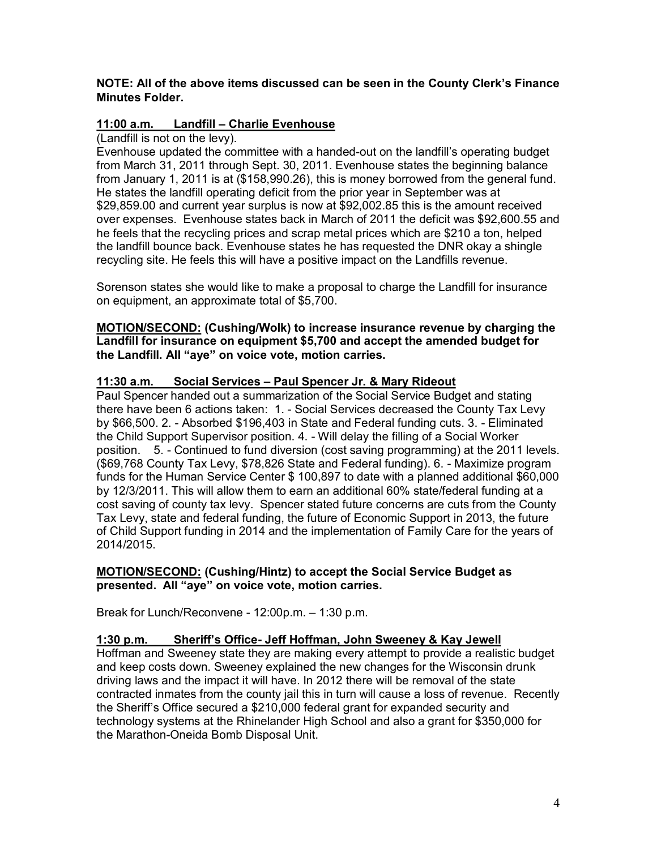#### **NOTE: All of the above items discussed can be seen in the County Clerk's Finance Minutes Folder.**

# **11:00 a.m. Landfill – Charlie Evenhouse**

(Landfill is not on the levy).

Evenhouse updated the committee with a handed-out on the landfill's operating budget from March 31, 2011 through Sept. 30, 2011. Evenhouse states the beginning balance from January 1, 2011 is at (\$158,990.26), this is money borrowed from the general fund. He states the landfill operating deficit from the prior year in September was at \$29,859.00 and current year surplus is now at \$92,002.85 this is the amount received over expenses. Evenhouse states back in March of 2011 the deficit was \$92,600.55 and he feels that the recycling prices and scrap metal prices which are \$210 a ton, helped the landfill bounce back. Evenhouse states he has requested the DNR okay a shingle recycling site. He feels this will have a positive impact on the Landfills revenue.

Sorenson states she would like to make a proposal to charge the Landfill for insurance on equipment, an approximate total of \$5,700.

**MOTION/SECOND: (Cushing/Wolk) to increase insurance revenue by charging the Landfill for insurance on equipment \$5,700 and accept the amended budget for the Landfill. All "aye" on voice vote, motion carries.** 

## **11:30 a.m. Social Services – Paul Spencer Jr. & Mary Rideout**

Paul Spencer handed out a summarization of the Social Service Budget and stating there have been 6 actions taken: 1. Social Services decreased the County Tax Levy by \$66,500. 2. Absorbed \$196,403 in State and Federal funding cuts. 3. Eliminated the Child Support Supervisor position. 4. Will delay the filling of a Social Worker position. 5. Continued to fund diversion (cost saving programming) at the 2011 levels. (\$69,768 County Tax Levy, \$78,826 State and Federal funding), 6. - Maximize program funds for the Human Service Center \$ 100,897 to date with a planned additional \$60,000 by 12/3/2011. This will allow them to earn an additional 60% state/federal funding at a cost saving of county tax levy. Spencer stated future concerns are cuts from the County Tax Levy, state and federal funding, the future of Economic Support in 2013, the future of Child Support funding in 2014 and the implementation of Family Care for the years of 2014/2015.

#### **MOTION/SECOND: (Cushing/Hintz) to accept the Social Service Budget as presented. All "aye" on voice vote, motion carries.**

Break for Lunch/Reconvene - 12:00p.m. - 1:30 p.m.

## **1:30 p.m. Sheriff's Office Jeff Hoffman, John Sweeney & Kay Jewell**

Hoffman and Sweeney state they are making every attempt to provide a realistic budget and keep costs down. Sweeney explained the new changes for the Wisconsin drunk driving laws and the impact it will have. In 2012 there will be removal of the state contracted inmates from the county jail this in turn will cause a loss of revenue. Recently the Sheriff's Office secured a \$210,000 federal grant for expanded security and technology systems at the Rhinelander High School and also a grant for \$350,000 for the Marathon-Oneida Bomb Disposal Unit.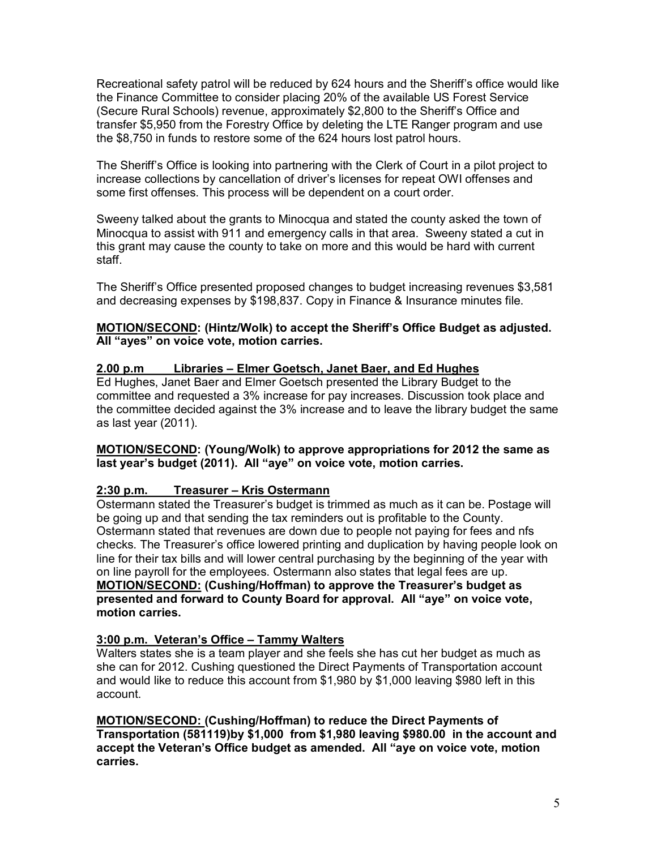Recreational safety patrol will be reduced by 624 hours and the Sheriff's office would like the Finance Committee to consider placing 20% of the available US Forest Service (Secure Rural Schools) revenue, approximately \$2,800 to the Sheriff's Office and transfer \$5,950 from the Forestry Office by deleting the LTE Ranger program and use the \$8,750 in funds to restore some of the 624 hours lost patrol hours.

The Sheriff's Office is looking into partnering with the Clerk of Court in a pilot project to increase collections by cancellation of driver's licenses for repeat OWI offenses and some first offenses. This process will be dependent on a court order.

Sweeny talked about the grants to Minocqua and stated the county asked the town of Minocqua to assist with 911 and emergency calls in that area. Sweeny stated a cut in this grant may cause the county to take on more and this would be hard with current staff.

The Sheriff's Office presented proposed changes to budget increasing revenues \$3,581 and decreasing expenses by \$198,837. Copy in Finance & Insurance minutes file.

#### **MOTION/SECOND: (Hintz/Wolk) to accept the Sheriff's Office Budget as adjusted. All "ayes" on voice vote, motion carries.**

# **2.00 p.m Libraries – Elmer Goetsch, Janet Baer, and Ed Hughes**

Ed Hughes, Janet Baer and Elmer Goetsch presented the Library Budget to the committee and requested a 3% increase for pay increases. Discussion took place and the committee decided against the 3% increase and to leave the library budget the same as last year (2011).

#### **MOTION/SECOND: (Young/Wolk) to approve appropriations for 2012 the same as last year's budget (2011). All "aye" on voice vote, motion carries.**

## **2:30 p.m. Treasurer – Kris Ostermann**

Ostermann stated the Treasurer's budget is trimmed as much as it can be. Postage will be going up and that sending the tax reminders out is profitable to the County. Ostermann stated that revenues are down due to people not paying for fees and nfs checks. The Treasurer's office lowered printing and duplication by having people look on line for their tax bills and will lower central purchasing by the beginning of the year with on line payroll for the employees. Ostermann also states that legal fees are up. **MOTION/SECOND: (Cushing/Hoffman) to approve the Treasurer's budget as presented and forward to County Board for approval. All "aye" on voice vote, motion carries.** 

## **3:00 p.m. Veteran's Office – Tammy Walters**

Walters states she is a team player and she feels she has cut her budget as much as she can for 2012. Cushing questioned the Direct Payments of Transportation account and would like to reduce this account from \$1,980 by \$1,000 leaving \$980 left in this account.

**MOTION/SECOND: (Cushing/Hoffman) to reduce the Direct Payments of Transportation (581119)by \$1,000 from \$1,980 leaving \$980.00 in the account and accept the Veteran's Office budget as amended. All "aye on voice vote, motion carries.**